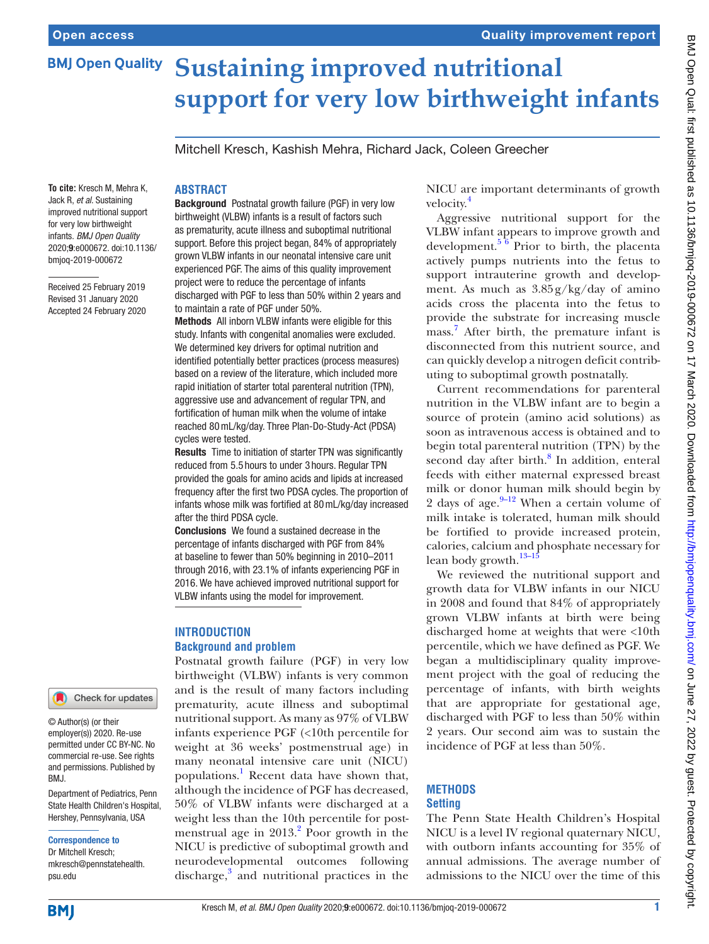# **BMJ Open Quality Sustaining improved nutritional support for very low birthweight infants**

Mitchell Kresch, Kashish Mehra, Richard Jack, Coleen Greecher

## **ABSTRACT**

**To cite:** Kresch M, Mehra K, Jack R, *et al*. Sustaining improved nutritional support for very low birthweight infants. *BMJ Open Quality* 2020;9:e000672. doi:10.1136/ bmjoq-2019-000672

Received 25 February 2019 Revised 31 January 2020 Accepted 24 February 2020 Background Postnatal growth failure (PGF) in very low birthweight (VLBW) infants is a result of factors such as prematurity, acute illness and suboptimal nutritional support. Before this project began, 84% of appropriately grown VLBW infants in our neonatal intensive care unit experienced PGF. The aims of this quality improvement project were to reduce the percentage of infants discharged with PGF to less than 50% within 2 years and to maintain a rate of PGF under 50%.

Methods All inborn VLBW infants were eligible for this study. Infants with congenital anomalies were excluded. We determined key drivers for optimal nutrition and identified potentially better practices (process measures) based on a review of the literature, which included more rapid initiation of starter total parenteral nutrition (TPN), aggressive use and advancement of regular TPN, and fortification of human milk when the volume of intake reached 80mL/kg/day. Three Plan-Do-Study-Act (PDSA) cycles were tested.

Results Time to initiation of starter TPN was significantly reduced from 5.5 hours to under 3 hours. Regular TPN provided the goals for amino acids and lipids at increased frequency after the first two PDSA cycles. The proportion of infants whose milk was fortified at 80mL/kg/day increased after the third PDSA cycle.

Conclusions We found a sustained decrease in the percentage of infants discharged with PGF from 84% at baseline to fewer than 50% beginning in 2010–2011 through 2016, with 23.1% of infants experiencing PGF in 2016. We have achieved improved nutritional support for VLBW infants using the model for improvement.

# **Introduction Background and problem**

Postnatal growth failure (PGF) in very low birthweight (VLBW) infants is very common and is the result of many factors including prematurity, acute illness and suboptimal nutritional support. As many as 97% of VLBW infants experience PGF (<10th percentile for weight at 36 weeks' postmenstrual age) in many neonatal intensive care unit (NICU) populations.<sup>1</sup> Recent data have shown that, although the incidence of PGF has decreased, 50% of VLBW infants were discharged at a weight less than the 10th percentile for postmenstrual age in  $2013.<sup>2</sup>$  $2013.<sup>2</sup>$  Poor growth in the NICU is predictive of suboptimal growth and neurodevelopmental outcomes following discharge,<sup>[3](#page-5-2)</sup> and nutritional practices in the NICU are important determinants of growth velocity.<sup>[4](#page-5-3)</sup>

Aggressive nutritional support for the VLBW infant appears to improve growth and development. $5^6$  Prior to birth, the placenta actively pumps nutrients into the fetus to support intrauterine growth and development. As much as 3.85g/kg/day of amino acids cross the placenta into the fetus to provide the substrate for increasing muscle mass. [7](#page-5-5) After birth, the premature infant is disconnected from this nutrient source, and can quickly develop a nitrogen deficit contributing to suboptimal growth postnatally.

Current recommendations for parenteral nutrition in the VLBW infant are to begin a source of protein (amino acid solutions) as soon as intravenous access is obtained and to begin total parenteral nutrition (TPN) by the second day after birth.<sup>[8](#page-5-6)</sup> In addition, enteral feeds with either maternal expressed breast milk or donor human milk should begin by 2 days of age. $\frac{9-12}{9}$  When a certain volume of milk intake is tolerated, human milk should be fortified to provide increased protein, calories, calcium and phosphate necessary for lean body growth.<sup>13-15</sup>

We reviewed the nutritional support and growth data for VLBW infants in our NICU in 2008 and found that 84% of appropriately grown VLBW infants at birth were being discharged home at weights that were <10th percentile, which we have defined as PGF. We began a multidisciplinary quality improvement project with the goal of reducing the percentage of infants, with birth weights that are appropriate for gestational age, discharged with PGF to less than 50% within 2 years. Our second aim was to sustain the incidence of PGF at less than 50%.

### **Methods Setting**

The Penn State Health Children's Hospital NICU is a level IV regional quaternary NICU, with outborn infants accounting for 35% of annual admissions. The average number of admissions to the NICU over the time of this



psu.edu

RM<sub>J</sub>

Department of Pediatrics, Penn State Health Children's Hospital, Hershey, Pennsylvania, USA

Check for updates

Correspondence to Dr Mitchell Kresch; mkresch@pennstatehealth.

© Author(s) (or their employer(s)) 2020. Re-use permitted under CC BY-NC. No commercial re-use. See rights and permissions. Published by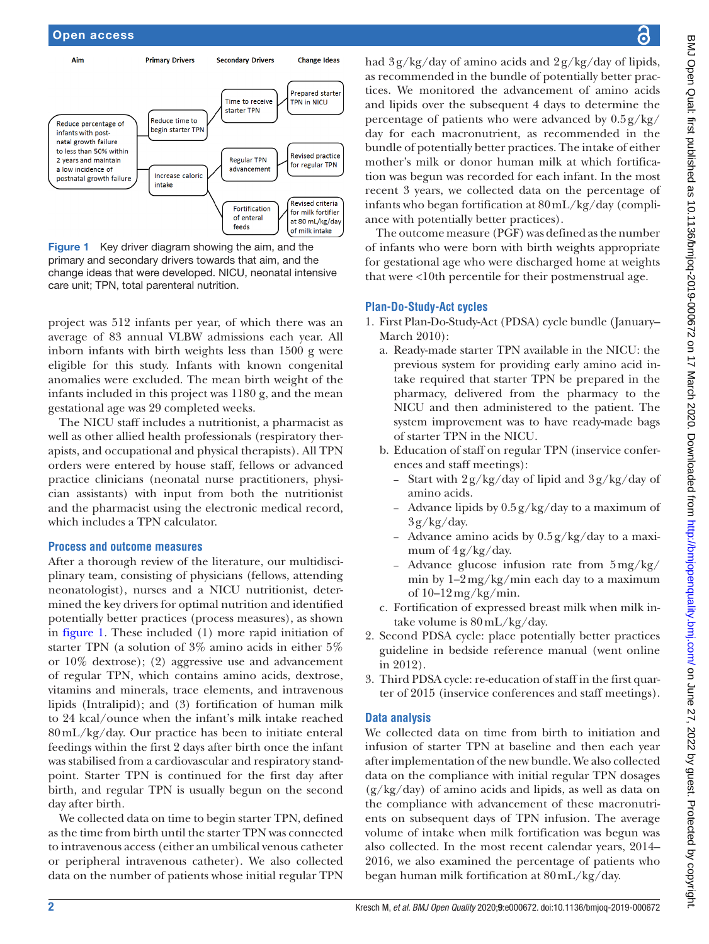

<span id="page-1-0"></span>Figure 1 Key driver diagram showing the aim, and the primary and secondary drivers towards that aim, and the change ideas that were developed. NICU, neonatal intensive care unit; TPN, total parenteral nutrition.

project was 512 infants per year, of which there was an average of 83 annual VLBW admissions each year. All inborn infants with birth weights less than 1500 g were eligible for this study. Infants with known congenital anomalies were excluded. The mean birth weight of the infants included in this project was 1180 g, and the mean gestational age was 29 completed weeks.

The NICU staff includes a nutritionist, a pharmacist as well as other allied health professionals (respiratory therapists, and occupational and physical therapists). All TPN orders were entered by house staff, fellows or advanced practice clinicians (neonatal nurse practitioners, physician assistants) with input from both the nutritionist and the pharmacist using the electronic medical record, which includes a TPN calculator.

#### **Process and outcome measures**

After a thorough review of the literature, our multidisciplinary team, consisting of physicians (fellows, attending neonatologist), nurses and a NICU nutritionist, determined the key drivers for optimal nutrition and identified potentially better practices (process measures), as shown in [figure](#page-1-0) 1. These included (1) more rapid initiation of starter TPN (a solution of 3% amino acids in either 5% or 10% dextrose); (2) aggressive use and advancement of regular TPN, which contains amino acids, dextrose, vitamins and minerals, trace elements, and intravenous lipids (Intralipid); and (3) fortification of human milk to 24 kcal/ounce when the infant's milk intake reached 80mL/kg/day. Our practice has been to initiate enteral feedings within the first 2 days after birth once the infant was stabilised from a cardiovascular and respiratory standpoint. Starter TPN is continued for the first day after birth, and regular TPN is usually begun on the second day after birth.

We collected data on time to begin starter TPN, defined as the time from birth until the starter TPN was connected to intravenous access (either an umbilical venous catheter or peripheral intravenous catheter). We also collected data on the number of patients whose initial regular TPN

ဥ

had  $3g/kg/day$  of amino acids and  $2g/kg/day$  of lipids, as recommended in the bundle of potentially better practices. We monitored the advancement of amino acids and lipids over the subsequent 4 days to determine the percentage of patients who were advanced by  $0.5g/kg/$ day for each macronutrient, as recommended in the bundle of potentially better practices. The intake of either mother's milk or donor human milk at which fortification was begun was recorded for each infant. In the most recent 3 years, we collected data on the percentage of infants who began fortification at 80mL/kg/day (compliance with potentially better practices).

The outcome measure (PGF) was defined as the number of infants who were born with birth weights appropriate for gestational age who were discharged home at weights that were <10th percentile for their postmenstrual age.

## **Plan-Do-Study-Act cycles**

- 1. First Plan-Do-Study-Act (PDSA) cycle bundle (January– March 2010):
	- a. Ready-made starter TPN available in the NICU: the previous system for providing early amino acid intake required that starter TPN be prepared in the pharmacy, delivered from the pharmacy to the NICU and then administered to the patient. The system improvement was to have ready-made bags of starter TPN in the NICU.
	- b. Education of staff on regular TPN (inservice conferences and staff meetings):
		- Start with  $2g/kg/day$  of lipid and  $3g/kg/day$  of amino acids.
		- Advance lipids by 0.5g/kg/day to a maximum of  $3g/kg/day$ .
		- Advance amino acids by  $0.5g/kg/day$  to a maximum of 4g/kg/day.
		- Advance glucose infusion rate from 5mg/kg/ min by 1–2mg/kg/min each day to a maximum of  $10-12$  mg/kg/min.
	- c. Fortification of expressed breast milk when milk intake volume is 80mL/kg/day.
- 2. Second PDSA cycle: place potentially better practices guideline in bedside reference manual (went online in 2012).
- 3. Third PDSA cycle: re-education of staff in the first quarter of 2015 (inservice conferences and staff meetings).

## **Data analysis**

We collected data on time from birth to initiation and infusion of starter TPN at baseline and then each year after implementation of the new bundle. We also collected data on the compliance with initial regular TPN dosages  $(g/kg/day)$  of amino acids and lipids, as well as data on the compliance with advancement of these macronutrients on subsequent days of TPN infusion. The average volume of intake when milk fortification was begun was also collected. In the most recent calendar years, 2014– 2016, we also examined the percentage of patients who began human milk fortification at 80mL/kg/day.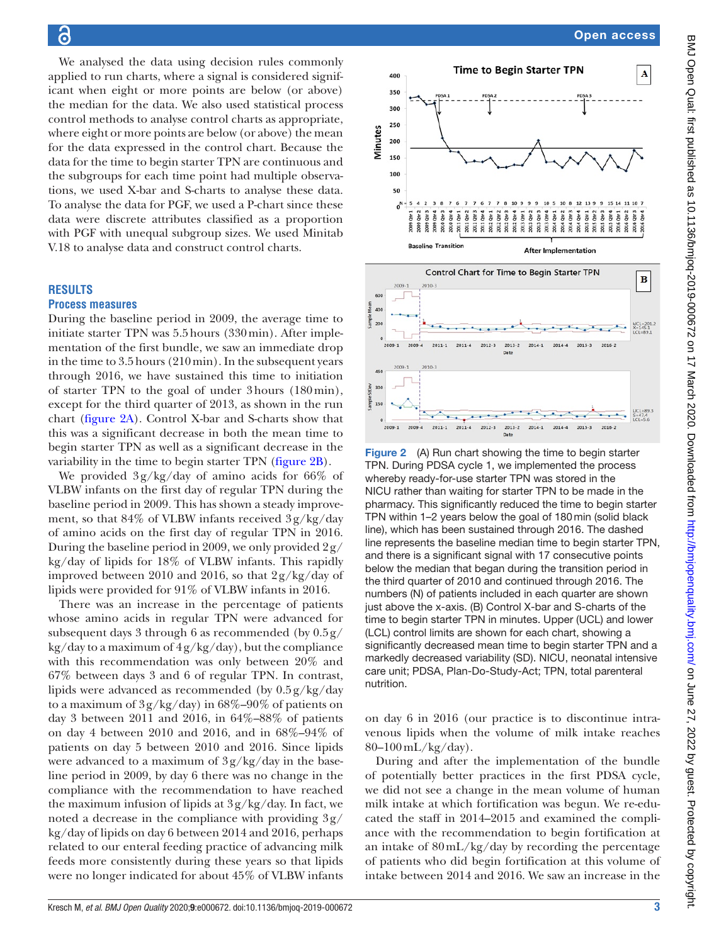We analysed the data using decision rules commonly applied to run charts, where a signal is considered significant when eight or more points are below (or above) the median for the data. We also used statistical process control methods to analyse control charts as appropriate, where eight or more points are below (or above) the mean for the data expressed in the control chart. Because the data for the time to begin starter TPN are continuous and the subgroups for each time point had multiple observations, we used X-bar and S-charts to analyse these data. To analyse the data for PGF, we used a P-chart since these data were discrete attributes classified as a proportion with PGF with unequal subgroup sizes. We used Minitab V.18 to analyse data and construct control charts.

#### **Results Process measures**

During the baseline period in 2009, the average time to initiate starter TPN was 5.5hours (330min). After implementation of the first bundle, we saw an immediate drop in the time to 3.5hours (210min). In the subsequent years through 2016, we have sustained this time to initiation of starter TPN to the goal of under 3hours (180min), except for the third quarter of 2013, as shown in the run chart [\(figure](#page-2-0) 2A). Control X-bar and S-charts show that this was a significant decrease in both the mean time to begin starter TPN as well as a significant decrease in the variability in the time to begin starter TPN [\(figure](#page-2-0) 2B).

We provided 3g/kg/day of amino acids for 66% of VLBW infants on the first day of regular TPN during the baseline period in 2009. This has shown a steady improvement, so that  $84\%$  of VLBW infants received  $3g/kg/day$ of amino acids on the first day of regular TPN in 2016. During the baseline period in 2009, we only provided 2g/ kg/day of lipids for 18% of VLBW infants. This rapidly improved between 2010 and 2016, so that 2g/kg/day of lipids were provided for 91% of VLBW infants in 2016.

There was an increase in the percentage of patients whose amino acids in regular TPN were advanced for subsequent days 3 through 6 as recommended (by 0.5g/  $kg/day$  to a maximum of  $4g/kg/day$ , but the compliance with this recommendation was only between 20% and 67% between days 3 and 6 of regular TPN. In contrast, lipids were advanced as recommended (by 0.5g/kg/day to a maximum of  $3g/kg/day$ ) in  $68\% -90\%$  of patients on day 3 between 2011 and 2016, in  $64\% - 88\%$  of patients on day 4 between 2010 and 2016, and in 68%–94% of patients on day 5 between 2010 and 2016. Since lipids were advanced to a maximum of 3g/kg/day in the baseline period in 2009, by day 6 there was no change in the compliance with the recommendation to have reached the maximum infusion of lipids at  $3g/kg/day$ . In fact, we noted a decrease in the compliance with providing 3g/ kg/day of lipids on day 6 between 2014 and 2016, perhaps related to our enteral feeding practice of advancing milk feeds more consistently during these years so that lipids were no longer indicated for about 45% of VLBW infants

**Time to Begin Starter TPN**  $\overline{\mathbf{A}}$ 400 350 300 250 Minutes 200 150 100 50  $\boldsymbol{\theta}^N$  $11, 10, 7$ 2016 Qtr 3<br>2016 Qtr 4  $\ddot{\tilde{g}}$ Qtr3 1010 Qtr  $Q_{\text{tr2}}$  $\frac{1}{2}$  $\tilde{g}$  $\ddot{\bar{a}}$ Ä ă  $\ddot{a}$  $\frac{1}{2}$ 2014 Qtr ă È ă 2009 2010 2011 2011 2011<br>2012 **2012 2013**  $2013$ 2014 2015 310 2015<br>2016 2016  $\frac{2}{3}$ 2014  $\frac{4}{14}$ 2015 **Baseline Transition After Implementation** 



<span id="page-2-0"></span>**Figure 2** (A) Run chart showing the time to begin starter TPN. During PDSA cycle 1, we implemented the process whereby ready-for-use starter TPN was stored in the NICU rather than waiting for starter TPN to be made in the pharmacy. This significantly reduced the time to begin starter TPN within 1–2 years below the goal of 180min (solid black line), which has been sustained through 2016. The dashed line represents the baseline median time to begin starter TPN, and there is a significant signal with 17 consecutive points below the median that began during the transition period in the third quarter of 2010 and continued through 2016. The numbers (N) of patients included in each quarter are shown just above the x-axis. (B) Control X-bar and S-charts of the time to begin starter TPN in minutes. Upper (UCL) and lower (LCL) control limits are shown for each chart, showing a significantly decreased mean time to begin starter TPN and a markedly decreased variability (SD). NICU, neonatal intensive care unit; PDSA, Plan-Do-Study-Act; TPN, total parenteral nutrition.

on day 6 in 2016 (our practice is to discontinue intravenous lipids when the volume of milk intake reaches  $80-100$  mL/kg/day).

During and after the implementation of the bundle of potentially better practices in the first PDSA cycle, we did not see a change in the mean volume of human milk intake at which fortification was begun. We re-educated the staff in 2014–2015 and examined the compliance with the recommendation to begin fortification at an intake of  $80 \text{ mL/kg/day}$  by recording the percentage of patients who did begin fortification at this volume of intake between 2014 and 2016. We saw an increase in the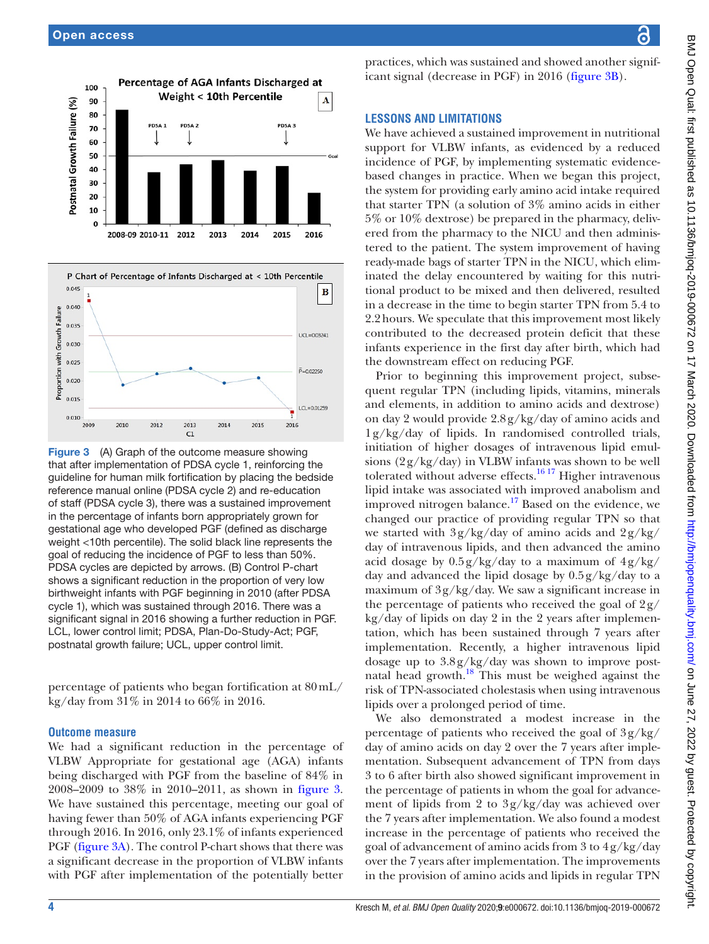



<span id="page-3-0"></span>Figure 3 (A) Graph of the outcome measure showing that after implementation of PDSA cycle 1, reinforcing the guideline for human milk fortification by placing the bedside reference manual online (PDSA cycle 2) and re-education of staff (PDSA cycle 3), there was a sustained improvement in the percentage of infants born appropriately grown for gestational age who developed PGF (defined as discharge weight <10th percentile). The solid black line represents the goal of reducing the incidence of PGF to less than 50%. PDSA cycles are depicted by arrows. (B) Control P-chart shows a significant reduction in the proportion of very low birthweight infants with PGF beginning in 2010 (after PDSA cycle 1), which was sustained through 2016. There was a significant signal in 2016 showing a further reduction in PGF. LCL, lower control limit; PDSA, Plan-Do-Study-Act; PGF, postnatal growth failure; UCL, upper control limit.

percentage of patients who began fortification at 80mL/ kg/day from 31% in 2014 to 66% in 2016.

#### **Outcome measure**

We had a significant reduction in the percentage of VLBW Appropriate for gestational age (AGA) infants being discharged with PGF from the baseline of 84% in 2008–2009 to 38% in 2010–2011, as shown in [figure](#page-3-0) 3. We have sustained this percentage, meeting our goal of having fewer than 50% of AGA infants experiencing PGF through 2016. In 2016, only 23.1% of infants experienced PGF ([figure](#page-3-0) 3A). The control P-chart shows that there was a significant decrease in the proportion of VLBW infants with PGF after implementation of the potentially better

practices, which was sustained and showed another significant signal (decrease in PGF) in 2016 ([figure](#page-3-0) 3B).

#### **Lessons and limitations**

We have achieved a sustained improvement in nutritional support for VLBW infants, as evidenced by a reduced incidence of PGF, by implementing systematic evidencebased changes in practice. When we began this project, the system for providing early amino acid intake required that starter TPN (a solution of 3% amino acids in either 5% or 10% dextrose) be prepared in the pharmacy, delivered from the pharmacy to the NICU and then administered to the patient. The system improvement of having ready-made bags of starter TPN in the NICU, which eliminated the delay encountered by waiting for this nutritional product to be mixed and then delivered, resulted in a decrease in the time to begin starter TPN from 5.4 to 2.2hours. We speculate that this improvement most likely contributed to the decreased protein deficit that these infants experience in the first day after birth, which had the downstream effect on reducing PGF.

Prior to beginning this improvement project, subsequent regular TPN (including lipids, vitamins, minerals and elements, in addition to amino acids and dextrose) on day 2 would provide 2.8g/kg/day of amino acids and 1g/kg/day of lipids. In randomised controlled trials, initiation of higher dosages of intravenous lipid emulsions (2g/kg/day) in VLBW infants was shown to be well tolerated without adverse effects.<sup>16 17</sup> Higher intravenous lipid intake was associated with improved anabolism and improved nitrogen balance.<sup>17</sup> Based on the evidence, we changed our practice of providing regular TPN so that we started with  $3g/kg/day$  of amino acids and  $2g/kg/$ day of intravenous lipids, and then advanced the amino acid dosage by 0.5g/kg/day to a maximum of 4g/kg/ day and advanced the lipid dosage by 0.5g/kg/day to a maximum of  $3g/kg/day$ . We saw a significant increase in the percentage of patients who received the goal of  $2g/$ kg/day of lipids on day 2 in the 2 years after implementation, which has been sustained through 7 years after implementation. Recently, a higher intravenous lipid dosage up to 3.8g/kg/day was shown to improve postnatal head growth. $18$  This must be weighed against the risk of TPN-associated cholestasis when using intravenous lipids over a prolonged period of time.

We also demonstrated a modest increase in the percentage of patients who received the goal of 3g/kg/ day of amino acids on day 2 over the 7 years after implementation. Subsequent advancement of TPN from days 3 to 6 after birth also showed significant improvement in the percentage of patients in whom the goal for advancement of lipids from 2 to 3g/kg/day was achieved over the 7 years after implementation. We also found a modest increase in the percentage of patients who received the goal of advancement of amino acids from 3 to 4g/kg/day over the 7 years after implementation. The improvements in the provision of amino acids and lipids in regular TPN

ဥ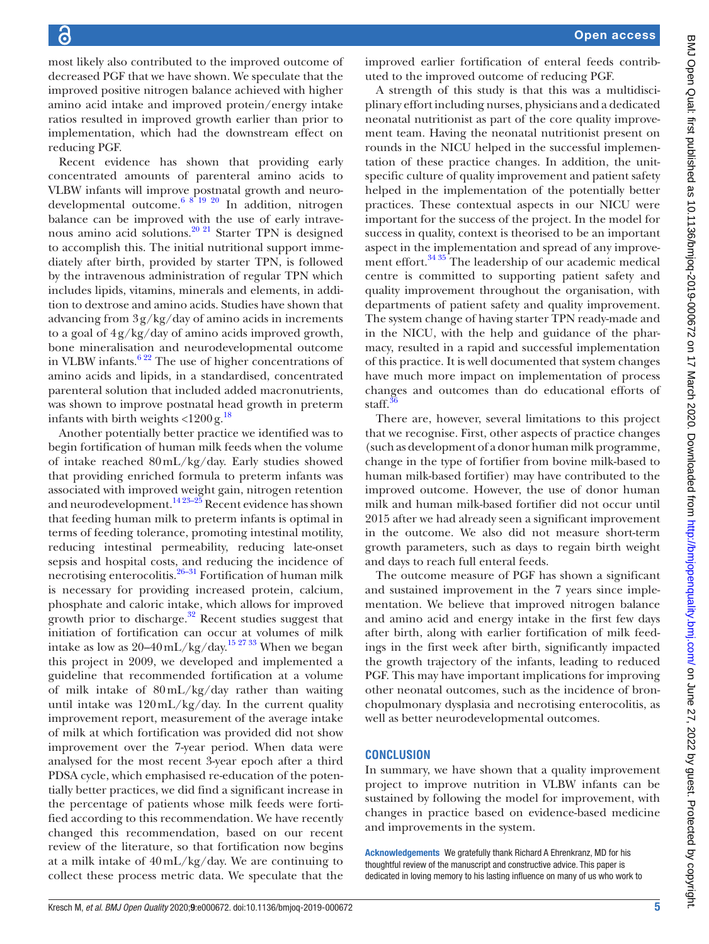Open access

most likely also contributed to the improved outcome of decreased PGF that we have shown. We speculate that the improved positive nitrogen balance achieved with higher amino acid intake and improved protein/energy intake ratios resulted in improved growth earlier than prior to implementation, which had the downstream effect on reducing PGF.

Recent evidence has shown that providing early concentrated amounts of parenteral amino acids to VLBW infants will improve postnatal growth and neurodevelopmental outcome.<sup>6 8'19 20</sup> In addition, nitrogen balance can be improved with the use of early intravenous amino acid solutions.<sup>20</sup> <sup>21</sup> Starter TPN is designed to accomplish this. The initial nutritional support immediately after birth, provided by starter TPN, is followed by the intravenous administration of regular TPN which includes lipids, vitamins, minerals and elements, in addition to dextrose and amino acids. Studies have shown that advancing from 3g/kg/day of amino acids in increments to a goal of 4g/kg/day of amino acids improved growth, bone mineralisation and neurodevelopmental outcome in VLBW infants. $6^{22}$  The use of higher concentrations of amino acids and lipids, in a standardised, concentrated parenteral solution that included added macronutrients, was shown to improve postnatal head growth in preterm infants with birth weights <1200g. [18](#page-5-11)

Another potentially better practice we identified was to begin fortification of human milk feeds when the volume of intake reached 80mL/kg/day. Early studies showed that providing enriched formula to preterm infants was associated with improved weight gain, nitrogen retention and neurodevelopment.<sup>[14 23–25](#page-5-14)</sup> Recent evidence has shown that feeding human milk to preterm infants is optimal in terms of feeding tolerance, promoting intestinal motility, reducing intestinal permeability, reducing late-onset sepsis and hospital costs, and reducing the incidence of necrotising enterocolitis.<sup>26–31</sup> Fortification of human milk is necessary for providing increased protein, calcium, phosphate and caloric intake, which allows for improved growth prior to discharge.<sup>[32](#page-5-16)</sup> Recent studies suggest that initiation of fortification can occur at volumes of milk intake as low as  $20-40\,\mathrm{mL/kg/day}$ .<sup>15 27 33</sup> When we began this project in 2009, we developed and implemented a guideline that recommended fortification at a volume of milk intake of 80mL/kg/day rather than waiting until intake was  $120 \text{ mL/kg/day}$ . In the current quality improvement report, measurement of the average intake of milk at which fortification was provided did not show improvement over the 7-year period. When data were analysed for the most recent 3-year epoch after a third PDSA cycle, which emphasised re-education of the potentially better practices, we did find a significant increase in the percentage of patients whose milk feeds were fortified according to this recommendation. We have recently changed this recommendation, based on our recent review of the literature, so that fortification now begins at a milk intake of  $40 \text{ mL/kg/day}$ . We are continuing to collect these process metric data. We speculate that the

improved earlier fortification of enteral feeds contributed to the improved outcome of reducing PGF.

A strength of this study is that this was a multidisciplinary effort including nurses, physicians and a dedicated neonatal nutritionist as part of the core quality improvement team. Having the neonatal nutritionist present on rounds in the NICU helped in the successful implementation of these practice changes. In addition, the unitspecific culture of quality improvement and patient safety helped in the implementation of the potentially better practices. These contextual aspects in our NICU were important for the success of the project. In the model for success in quality, context is theorised to be an important aspect in the implementation and spread of any improvement effort.<sup>34 35</sup> The leadership of our academic medical centre is committed to supporting patient safety and quality improvement throughout the organisation, with departments of patient safety and quality improvement. The system change of having starter TPN ready-made and in the NICU, with the help and guidance of the pharmacy, resulted in a rapid and successful implementation of this practice. It is well documented that system changes have much more impact on implementation of process changes and outcomes than do educational efforts of staff.<sup>3</sup>

There are, however, several limitations to this project that we recognise. First, other aspects of practice changes (such as development of a donor human milk programme, change in the type of fortifier from bovine milk-based to human milk-based fortifier) may have contributed to the improved outcome. However, the use of donor human milk and human milk-based fortifier did not occur until 2015 after we had already seen a significant improvement in the outcome. We also did not measure short-term growth parameters, such as days to regain birth weight and days to reach full enteral feeds.

The outcome measure of PGF has shown a significant and sustained improvement in the 7 years since implementation. We believe that improved nitrogen balance and amino acid and energy intake in the first few days after birth, along with earlier fortification of milk feedings in the first week after birth, significantly impacted the growth trajectory of the infants, leading to reduced PGF. This may have important implications for improving other neonatal outcomes, such as the incidence of bronchopulmonary dysplasia and necrotising enterocolitis, as well as better neurodevelopmental outcomes.

# **Conclusion**

In summary, we have shown that a quality improvement project to improve nutrition in VLBW infants can be sustained by following the model for improvement, with changes in practice based on evidence-based medicine and improvements in the system.

Acknowledgements We gratefully thank Richard A Ehrenkranz, MD for his thoughtful review of the manuscript and constructive advice. This paper is dedicated in loving memory to his lasting influence on many of us who work to